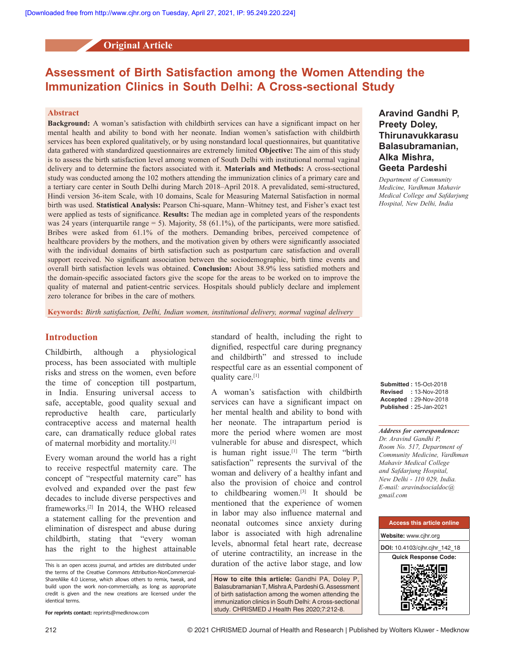**Original Article**

# **Assessment of Birth Satisfaction among the Women Attending the Immunization Clinics in South Delhi: A Cross-sectional Study**

## **Abstract**

**Background:** A woman's satisfaction with childbirth services can have a significant impact on her mental health and ability to bond with her neonate. Indian women's satisfaction with childbirth services has been explored qualitatively, or by using nonstandard local questionnaires, but quantitative data gathered with standardized questionnaires are extremely limited **Objective:** The aim of this study is to assess the birth satisfaction level among women of South Delhi with institutional normal vaginal delivery and to determine the factors associated with it. **Materials and Methods:** A cross-sectional study was conducted among the 102 mothers attending the immunization clinics of a primary care and a tertiary care center in South Delhi during March 2018–April 2018. A prevalidated, semi‑structured, Hindi version 36‑item Scale, with 10 domains, Scale for Measuring Maternal Satisfaction in normal birth was used. **Statistical Analysis:** Pearson Chi‑square, Mann–Whitney test, and Fisher's exact test were applied as tests of significance. **Results:** The median age in completed years of the respondents was 24 years (interquartile range  $= 5$ ). Majority, 58 (61.1%), of the participants, were more satisfied. Bribes were asked from 61.1% of the mothers. Demanding bribes, perceived competence of healthcare providers by the mothers, and the motivation given by others were significantly associated with the individual domains of birth satisfaction such as postpartum care satisfaction and overall support received. No significant association between the sociodemographic, birth time events and overall birth satisfaction levels was obtained. **Conclusion:** About 38.9% less satisfied mothers and the domain‑specific associated factors give the scope for the areas to be worked on to improve the quality of maternal and patient-centric services. Hospitals should publicly declare and implement zero tolerance for bribes in the care of mothers*.*

**Keywords:** *Birth satisfaction, Delhi, Indian women, institutional delivery, normal vaginal delivery*

# **Introduction**

Childbirth, although a physiological process, has been associated with multiple risks and stress on the women, even before the time of conception till postpartum, in India. Ensuring universal access to safe, acceptable, good quality sexual and reproductive health care, particularly contraceptive access and maternal health care, can dramatically reduce global rates of maternal morbidity and mortality.[1]

Every woman around the world has a right to receive respectful maternity care. The concept of "respectful maternity care" has evolved and expanded over the past few decades to include diverse perspectives and frameworks.[2] In 2014, the WHO released a statement calling for the prevention and elimination of disrespect and abuse during childbirth, stating that "every woman has the right to the highest attainable standard of health, including the right to dignified, respectful care during pregnancy and childbirth" and stressed to include respectful care as an essential component of quality care.<sup>[1]</sup>

A woman's satisfaction with childbirth services can have a significant impact on her mental health and ability to bond with her neonate. The intrapartum period is more the period where women are most vulnerable for abuse and disrespect, which is human right issue.<sup>[1]</sup> The term "birth satisfaction" represents the survival of the woman and delivery of a healthy infant and also the provision of choice and control to childbearing women.[3] It should be mentioned that the experience of women in labor may also influence maternal and neonatal outcomes since anxiety during labor is associated with high adrenaline levels, abnormal fetal heart rate, decrease of uterine contractility, an increase in the This is an open access journal, and articles are distributed under duration of the active labor stage, and low

> **How to cite this article:** Gandhi PA, Doley P, Balasubramanian T, Mishra A, Pardeshi G. Assessment of birth satisfaction among the women attending the immunization clinics in South Delhi: A cross-sectional study. CHRISMED J Health Res 2020;7:212-8.

# **Aravind Gandhi P, Preety Doley, Thirunavukkarasu Balasubramanian, Alka Mishra, Geeta Pardeshi**

*Department of Community Medicine, Vardhman Mahavir Medical College and Safdarjung Hospital, New Delhi, India*

**Submitted :** 15-Oct-2018 **Revised :** 13-Nov-2018 **Accepted :** 29-Nov-2018 **Published :** 25-Jan-2021

*Address for correspondence: Dr. Aravind Gandhi P, Room No. 517, Department of Community Medicine, Vardhman Mahavir Medical College and Safdarjung Hospital, New Delhi ‑ 110 029, India. E‑mail: aravindsocialdoc@ gmail.com*



the terms of the Creative Commons Attribution-NonCommercial-ShareAlike 4.0 License, which allows others to remix, tweak, and build upon the work non-commercially, as long as appropriate credit is given and the new creations are licensed under the identical terms.

**For reprints contact:** reprints@medknow.com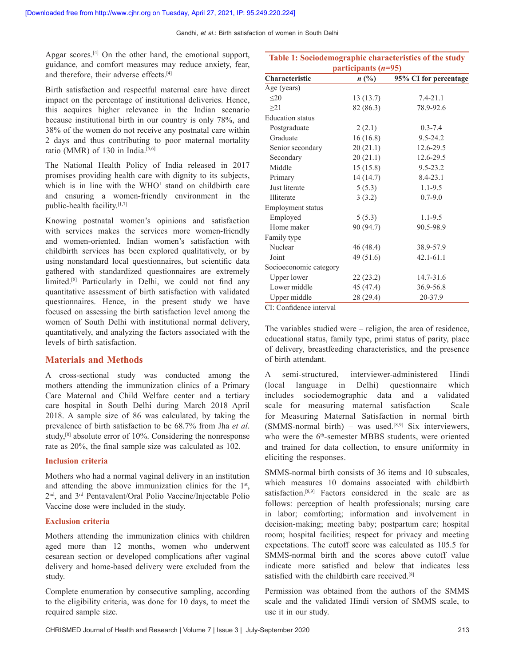Gandhi, *et al*.: Birth satisfaction of women in South Delhi

Apgar scores.<sup>[4]</sup> On the other hand, the emotional support, guidance, and comfort measures may reduce anxiety, fear, and therefore, their adverse effects.<sup>[4]</sup>

Birth satisfaction and respectful maternal care have direct impact on the percentage of institutional deliveries. Hence, this acquires higher relevance in the Indian scenario because institutional birth in our country is only 78%, and 38% of the women do not receive any postnatal care within 2 days and thus contributing to poor maternal mortality ratio (MMR) of 130 in India.<sup>[5,6]</sup>

The National Health Policy of India released in 2017 promises providing health care with dignity to its subjects, which is in line with the WHO' stand on childbirth care and ensuring a women-friendly environment in the public-health facility.[1,7]

Knowing postnatal women's opinions and satisfaction with services makes the services more women-friendly and women-oriented. Indian women's satisfaction with childbirth services has been explored qualitatively, or by using nonstandard local questionnaires, but scientific data gathered with standardized questionnaires are extremely limited.[8] Particularly in Delhi, we could not find any quantitative assessment of birth satisfaction with validated questionnaires. Hence, in the present study we have focused on assessing the birth satisfaction level among the women of South Delhi with institutional normal delivery, quantitatively, and analyzing the factors associated with the levels of birth satisfaction.

# **Materials and Methods**

A cross-sectional study was conducted among the mothers attending the immunization clinics of a Primary Care Maternal and Child Welfare center and a tertiary care hospital in South Delhi during March 2018–April 2018. A sample size of 86 was calculated, by taking the prevalence of birth satisfaction to be 68.7% from Jha *et al*. study,[8] absolute error of 10%. Considering the nonresponse rate as 20%, the final sample size was calculated as 102.

## **Inclusion criteria**

Mothers who had a normal vaginal delivery in an institution and attending the above immunization clinics for the 1<sup>st</sup>, 2nd, and 3rd Pentavalent/Oral Polio Vaccine/Injectable Polio Vaccine dose were included in the study.

## **Exclusion criteria**

Mothers attending the immunization clinics with children aged more than 12 months, women who underwent cesarean section or developed complications after vaginal delivery and home-based delivery were excluded from the study.

Complete enumeration by consecutive sampling, according to the eligibility criteria, was done for 10 days, to meet the required sample size.

| participants $(n=95)$    |           |                       |  |
|--------------------------|-----------|-----------------------|--|
| Characteristic           | $n\ (\%)$ | 95% CI for percentage |  |
| Age (years)              |           |                       |  |
| $\leq 20$                | 13(13.7)  | $7.4 - 21.1$          |  |
| >21                      | 82 (86.3) | 78.9-92.6             |  |
| <b>Education</b> status  |           |                       |  |
| Postgraduate             | 2(2.1)    | $0.3 - 7.4$           |  |
| Graduate                 | 16(16.8)  | $9.5 - 24.2$          |  |
| Senior secondary         | 20(21.1)  | 12.6-29.5             |  |
| Secondary                | 20(21.1)  | 12.6-29.5             |  |
| Middle                   | 15(15.8)  | $9.5 - 23.2$          |  |
| Primary                  | 14(14.7)  | $8.4 - 23.1$          |  |
| Just literate            | 5(5.3)    | $1.1 - 9.5$           |  |
| Illiterate               | 3(3.2)    | $0.7 - 9.0$           |  |
| <b>Employment status</b> |           |                       |  |
| Employed                 | 5(5.3)    | $1.1 - 9.5$           |  |
| Home maker               | 90 (94.7) | 90.5-98.9             |  |
| Family type              |           |                       |  |
| Nuclear                  | 46 (48.4) | 38.9-57.9             |  |
| Joint                    | 49 (51.6) | $42.1 - 61.1$         |  |
| Socioeconomic category   |           |                       |  |
| <b>Upper lower</b>       | 22(23.2)  | 14.7-31.6             |  |
| Lower middle             | 45 (47.4) | 36.9-56.8             |  |
| Upper middle             | 28 (29.4) | 20-37.9               |  |

**Table 1: Sociodemographic characteristics of the study** 

CI: Confidence interval

The variables studied were – religion, the area of residence, educational status, family type, primi status of parity, place of delivery, breastfeeding characteristics, and the presence of birth attendant.

A semi-structured, interviewer-administered Hindi (local language in Delhi) questionnaire which includes sociodemographic data and a validated scale for measuring maternal satisfaction – Scale for Measuring Maternal Satisfaction in normal birth (SMMS-normal birth) – was used.<sup>[8,9]</sup> Six interviewers, who were the 6<sup>th</sup>-semester MBBS students, were oriented and trained for data collection, to ensure uniformity in eliciting the responses.

SMMS-normal birth consists of 36 items and 10 subscales, which measures 10 domains associated with childbirth satisfaction.<sup>[8,9]</sup> Factors considered in the scale are as follows: perception of health professionals; nursing care in labor; comforting; information and involvement in decision–making; meeting baby; postpartum care; hospital room; hospital facilities; respect for privacy and meeting expectations. The cutoff score was calculated as 105.5 for SMMS-normal birth and the scores above cutoff value indicate more satisfied and below that indicates less satisfied with the childbirth care received.<sup>[8]</sup>

Permission was obtained from the authors of the SMMS scale and the validated Hindi version of SMMS scale, to use it in our study.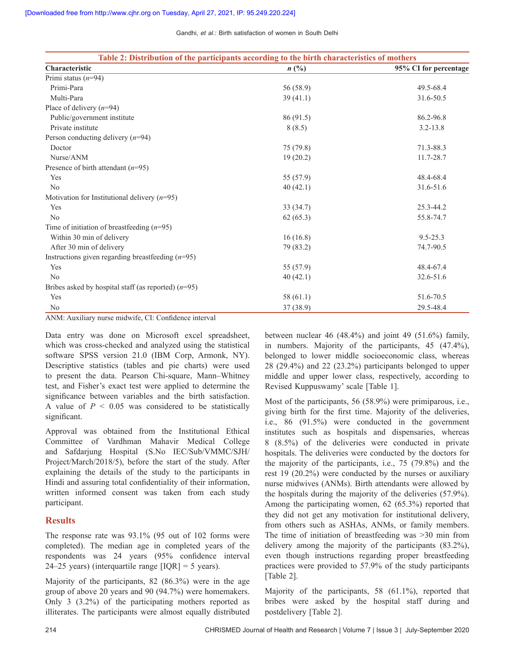| Gandhi, et al.: Birth satisfaction of women in South Delhi |  |
|------------------------------------------------------------|--|
|------------------------------------------------------------|--|

| Table 2: Distribution of the participants according to the birth characteristics of mothers |                |                       |  |  |
|---------------------------------------------------------------------------------------------|----------------|-----------------------|--|--|
| Characteristic                                                                              | $n(^{0}/_{0})$ | 95% CI for percentage |  |  |
| Primi status $(n=94)$                                                                       |                |                       |  |  |
| Primi-Para                                                                                  | 56 (58.9)      | 49.5-68.4             |  |  |
| Multi-Para                                                                                  | 39(41.1)       | 31.6-50.5             |  |  |
| Place of delivery $(n=94)$                                                                  |                |                       |  |  |
| Public/government institute                                                                 | 86 (91.5)      | 86.2-96.8             |  |  |
| Private institute                                                                           | 8(8.5)         | $3.2 - 13.8$          |  |  |
| Person conducting delivery $(n=94)$                                                         |                |                       |  |  |
| Doctor                                                                                      | 75 (79.8)      | 71.3-88.3             |  |  |
| Nurse/ANM                                                                                   | 19(20.2)       | 11.7-28.7             |  |  |
| Presence of birth attendant $(n=95)$                                                        |                |                       |  |  |
| Yes                                                                                         | 55 (57.9)      | 48.4-68.4             |  |  |
| No                                                                                          | 40(42.1)       | 31.6-51.6             |  |  |
| Motivation for Institutional delivery $(n=95)$                                              |                |                       |  |  |
| Yes                                                                                         | 33(34.7)       | 25.3-44.2             |  |  |
| No                                                                                          | 62(65.3)       | 55.8-74.7             |  |  |
| Time of initiation of breastfeeding $(n=95)$                                                |                |                       |  |  |
| Within 30 min of delivery                                                                   | 16(16.8)       | $9.5 - 25.3$          |  |  |
| After 30 min of delivery                                                                    | 79 (83.2)      | 74.7-90.5             |  |  |
| Instructions given regarding breastfeeding $(n=95)$                                         |                |                       |  |  |
| Yes                                                                                         | 55 (57.9)      | 48.4-67.4             |  |  |
| No                                                                                          | 40(42.1)       | 32.6-51.6             |  |  |
| Bribes asked by hospital staff (as reported) $(n=95)$                                       |                |                       |  |  |
| Yes                                                                                         | 58 $(61.1)$    | 51.6-70.5             |  |  |
| N <sub>0</sub>                                                                              | 37(38.9)       | 29.5-48.4             |  |  |

ANM: Auxiliary nurse midwife, CI: Confidence interval

Data entry was done on Microsoft excel spreadsheet, which was cross-checked and analyzed using the statistical software  SPSS version 21.0 (IBM Corp, Armonk, NY). Descriptive statistics (tables and pie charts) were used to present the data. Pearson Chi-square, Mann–Whitney test, and Fisher's exact test were applied to determine the significance between variables and the birth satisfaction. A value of *P* < 0.05 was considered to be statistically significant.

Approval was obtained from the Institutional Ethical Committee of Vardhman Mahavir Medical College and Safdarjung Hospital (S.No IEC/Sub/VMMC/SJH/ Project/March/2018/5), before the start of the study. After explaining the details of the study to the participants in Hindi and assuring total confidentiality of their information, written informed consent was taken from each study participant.

# **Results**

The response rate was 93.1% (95 out of 102 forms were completed). The median age in completed years of the respondents was 24 years (95% confidence interval 24–25 years) (interquartile range  $[IOR] = 5$  years).

Majority of the participants, 82 (86.3%) were in the age group of above 20 years and 90 (94.7%) were homemakers. Only 3 (3.2%) of the participating mothers reported as illiterates. The participants were almost equally distributed between nuclear 46  $(48.4\%)$  and joint 49  $(51.6\%)$  family, in numbers. Majority of the participants, 45 (47.4%), belonged to lower middle socioeconomic class, whereas 28 (29.4%) and 22 (23.2%) participants belonged to upper middle and upper lower class, respectively, according to Revised Kuppuswamy' scale [Table 1].

Most of the participants, 56 (58.9%) were primiparous, i.e., giving birth for the first time. Majority of the deliveries, i.e., 86 (91.5%) were conducted in the government institutes such as hospitals and dispensaries, whereas 8 (8.5%) of the deliveries were conducted in private hospitals. The deliveries were conducted by the doctors for the majority of the participants, i.e., 75 (79.8%) and the rest 19 (20.2%) were conducted by the nurses or auxiliary nurse midwives (ANMs). Birth attendants were allowed by the hospitals during the majority of the deliveries (57.9%). Among the participating women, 62 (65.3%) reported that they did not get any motivation for institutional delivery, from others such as ASHAs, ANMs, or family members. The time of initiation of breastfeeding was >30 min from delivery among the majority of the participants (83.2%), even though instructions regarding proper breastfeeding practices were provided to 57.9% of the study participants [Table 2].

Majority of the participants, 58 (61.1%), reported that bribes were asked by the hospital staff during and postdelivery [Table 2].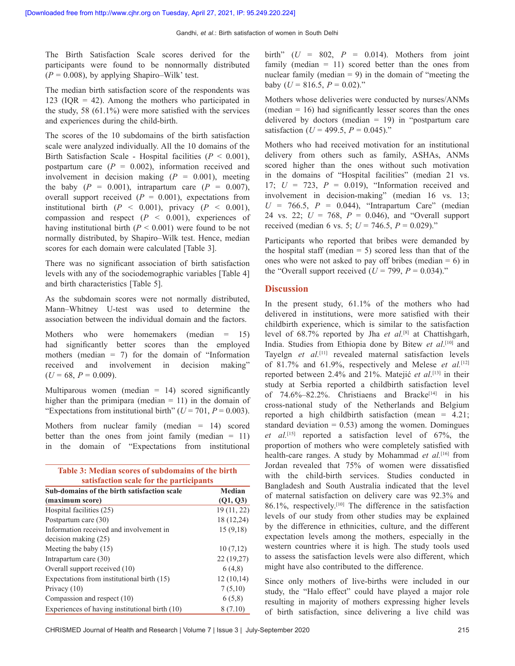The Birth Satisfaction Scale scores derived for the participants were found to be nonnormally distributed  $(P = 0.008)$ , by applying Shapiro–Wilk' test.

The median birth satisfaction score of the respondents was 123 (IQR  $=$  42). Among the mothers who participated in the study, 58 (61.1%) were more satisfied with the services and experiences during the child-birth.

The scores of the 10 subdomains of the birth satisfaction scale were analyzed individually. All the 10 domains of the Birth Satisfaction Scale - Hospital facilities  $(P < 0.001)$ , postpartum care  $(P = 0.002)$ , information received and involvement in decision making  $(P = 0.001)$ , meeting the baby  $(P = 0.001)$ , intrapartum care  $(P = 0.007)$ , overall support received  $(P = 0.001)$ , expectations from institutional birth  $(P < 0.001)$ , privacy  $(P < 0.001)$ , compassion and respect (*P* < 0.001), experiences of having institutional birth  $(P < 0.001)$  were found to be not normally distributed, by Shapiro–Wilk test. Hence, median scores for each domain were calculated [Table 3].

There was no significant association of birth satisfaction levels with any of the sociodemographic variables [Table 4] and birth characteristics [Table 5].

As the subdomain scores were not normally distributed, Mann–Whitney U-test was used to determine the association between the individual domain and the factors.

Mothers who were homemakers (median = 15) had significantly better scores than the employed mothers (median  $= 7$ ) for the domain of "Information" received and involvement in decision making"  $(U = 68, P = 0.009)$ .

Multiparous women (median  $= 14$ ) scored significantly higher than the primipara (median  $= 11$ ) in the domain of "Expectations from institutional birth" ( $U = 701$ ,  $P = 0.003$ ).

Mothers from nuclear family (median = 14) scored better than the ones from joint family (median  $= 11$ ) in the domain of "Expectations from institutional

| Table 3: Median scores of subdomains of the birth |  |
|---------------------------------------------------|--|
| satisfaction scale for the participants           |  |

| Sub-domains of the birth satisfaction scale    | Median      |  |  |
|------------------------------------------------|-------------|--|--|
| (maximum score)                                | (Q1, Q3)    |  |  |
| Hospital facilities (25)                       | 19 (11, 22) |  |  |
| Postpartum care (30)                           | 18 (12,24)  |  |  |
| Information received and involvement in        | 15(9,18)    |  |  |
| $decision$ making $(25)$                       |             |  |  |
| Meeting the baby $(15)$                        | 10(7,12)    |  |  |
| Intrapartum care $(30)$                        | 22(19,27)   |  |  |
| Overall support received (10)                  | 6(4,8)      |  |  |
| Expectations from institutional birth (15)     | 12(10,14)   |  |  |
| Privacy $(10)$                                 | 7(5,10)     |  |  |
| Compassion and respect (10)                    | 6(5,8)      |  |  |
| Experiences of having institutional birth (10) | 8(7.10)     |  |  |

birth"  $(U = 802, P = 0.014)$ . Mothers from joint family (median  $= 11$ ) scored better than the ones from nuclear family (median  $= 9$ ) in the domain of "meeting the baby ( $U = 816.5$ ,  $P = 0.02$ )."

Mothers whose deliveries were conducted by nurses/ANMs  $(median = 16)$  had significantly lesser scores than the ones delivered by doctors (median  $= 19$ ) in "postpartum care satisfaction ( $U = 499.5$ ,  $P = 0.045$ )."

Mothers who had received motivation for an institutional delivery from others such as family, ASHAs, ANMs scored higher than the ones without such motivation in the domains of "Hospital facilities" (median 21 vs. 17; *U* = 723, *P* = 0.019), "Information received and involvement in decision-making" (median 16 vs. 13;  $U = 766.5$ ,  $P = 0.044$ ), "Intrapartum Care" (median 24 vs. 22; *U* = 768, *P* = 0.046), and "Overall support received (median 6 vs. 5;  $U = 746.5$ ,  $P = 0.029$ )."

Participants who reported that bribes were demanded by the hospital staff (median  $= 5$ ) scored less than that of the ones who were not asked to pay off bribes (median  $= 6$ ) in the "Overall support received  $(U = 799, P = 0.034)$ ."

## **Discussion**

In the present study, 61.1% of the mothers who had delivered in institutions, were more satisfied with their childbirth experience, which is similar to the satisfaction level of 68.7% reported by Jha *et al.*[8] at Chattishgarh, India. Studies from Ethiopia done by Bitew *et al*. [10] and Tayelgn *et al.*[11] revealed maternal satisfaction levels of 81.7% and 61.9%, respectively and Melese *et al.*[12] reported between 2.4% and 21%. Matejić *et al*. [13] in their study at Serbia reported a childbirth satisfaction level of  $74.6\% - 82.2\%$ . Christiaens and Bracke<sup>[14]</sup> in his cross‑national study of the Netherlands and Belgium reported a high childbirth satisfaction (mean  $= 4.21$ ; standard deviation  $= 0.53$ ) among the women. Domingues *et al.*[15] reported a satisfaction level of 67%, the proportion of mothers who were completely satisfied with health-care ranges. A study by Mohammad *et al.*[16] from Jordan revealed that 75% of women were dissatisfied with the child-birth services. Studies conducted in Bangladesh and South Australia indicated that the level of maternal satisfaction on delivery care was 92.3% and 86.1%, respectively.[10] The difference in the satisfaction levels of our study from other studies may be explained by the difference in ethnicities, culture, and the different expectation levels among the mothers, especially in the western countries where it is high. The study tools used to assess the satisfaction levels were also different, which might have also contributed to the difference.

Since only mothers of live-births were included in our study, the "Halo effect" could have played a major role resulting in majority of mothers expressing higher levels of birth satisfaction, since delivering a live child was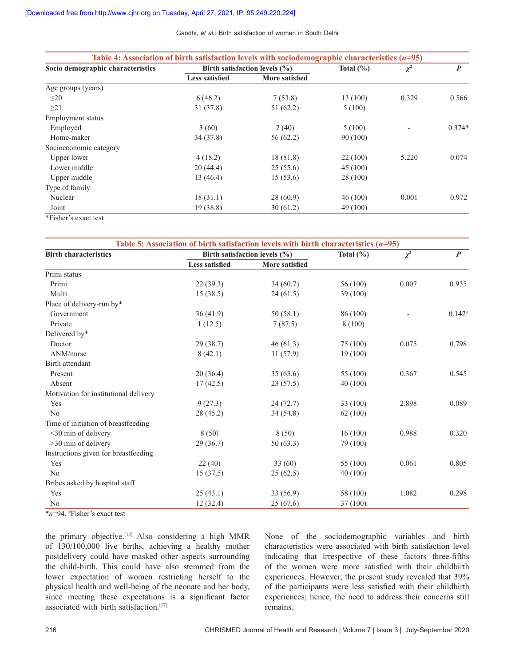Gandhi, *et al*.: Birth satisfaction of women in South Delhi

| Table 4: Association of birth satisfaction levels with sociodemographic characteristics $(n=95)$ |                                   |                |               |          |                  |
|--------------------------------------------------------------------------------------------------|-----------------------------------|----------------|---------------|----------|------------------|
| Socio demographic characteristics                                                                | Birth satisfaction levels $(\% )$ |                | Total $(\% )$ | $\chi^2$ | $\boldsymbol{P}$ |
|                                                                                                  | <b>Less satisfied</b>             | More satisfied |               |          |                  |
| Age groups (years)                                                                               |                                   |                |               |          |                  |
| $\leq$ 20                                                                                        | 6(46.2)                           | 7(53.8)        | 13 (100)      | 0.329    | 0.566            |
| $\geq$ 21                                                                                        | 31(37.8)                          | 51(62.2)       | 5(100)        |          |                  |
| Employment status                                                                                |                                   |                |               |          |                  |
| Employed                                                                                         | 3(60)                             | 2(40)          | 5(100)        |          | $0.374*$         |
| Home-maker                                                                                       | 34(37.8)                          | 56(62.2)       | 90(100)       |          |                  |
| Socioeconomic category                                                                           |                                   |                |               |          |                  |
| Upper lower                                                                                      | 4(18.2)                           | 18(81.8)       | 22(100)       | 5.220    | 0.074            |
| Lower middle                                                                                     | 20(44.4)                          | 25(55.6)       | 45(100)       |          |                  |
| Upper middle                                                                                     | 13(46.4)                          | 15(53.6)       | 28 (100)      |          |                  |
| Type of family                                                                                   |                                   |                |               |          |                  |
| Nuclear                                                                                          | 18(31.1)                          | 28(60.9)       | 46(100)       | 0.001    | 0.972            |
| Joint                                                                                            | 19(38.8)                          | 30(61.2)       | 49 (100)      |          |                  |
| *Fisher's exact test                                                                             |                                   |                |               |          |                  |

| Table 5: Association of birth satisfaction levels with birth characteristics $(n=95)$ |                       |                               |               |          |                  |
|---------------------------------------------------------------------------------------|-----------------------|-------------------------------|---------------|----------|------------------|
| <b>Birth characteristics</b>                                                          |                       | Birth satisfaction levels (%) |               | $\chi^2$ | $\boldsymbol{P}$ |
|                                                                                       | <b>Less satisfied</b> | <b>More satisfied</b>         | Total $(\% )$ |          |                  |
| Primi status                                                                          |                       |                               |               |          |                  |
| Primi                                                                                 | 22(39.3)              | 34(60.7)                      | 56 (100)      | 0.007    | 0.935            |
| Multi                                                                                 | 15(38.5)              | 24(61.5)                      | 39 (100)      |          |                  |
| Place of delivery-run by*                                                             |                       |                               |               |          |                  |
| Government                                                                            | 36(41.9)              | 50(58.1)                      | 86 (100)      |          | $0.142*$         |
| Private                                                                               | 1(12.5)               | 7(87.5)                       | 8 (100)       |          |                  |
| Delivered by*                                                                         |                       |                               |               |          |                  |
| Doctor                                                                                | 29 (38.7)             | 46(61.3)                      | 75 (100)      | 0.075    | 0.798            |
| ANM/nurse                                                                             | 8(42.1)               | 11(57.9)                      | 19 (100)      |          |                  |
| Birth attendant                                                                       |                       |                               |               |          |                  |
| Present                                                                               | 20(36.4)              | 35(63.6)                      | 55 (100)      | 0.367    | 0.545            |
| Absent                                                                                | 17(42.5)              | 23(57.5)                      | 40 (100)      |          |                  |
| Motivation for institutional delivery                                                 |                       |                               |               |          |                  |
| Yes                                                                                   | 9(27.3)               | 24(72.7)                      | 33 (100)      | 2.898    | 0.089            |
| No                                                                                    | 28 (45.2)             | 34(54.8)                      | 62(100)       |          |                  |
| Time of initiation of breastfeeding                                                   |                       |                               |               |          |                  |
| <30 min of delivery                                                                   | 8(50)                 | 8(50)                         | 16(100)       | 0.988    | 0.320            |
| >30 min of delivery                                                                   | 29(36.7)              | 50(63.3)                      | 79 (100)      |          |                  |
| Instructions given for breastfeeding                                                  |                       |                               |               |          |                  |
| Yes                                                                                   | 22(40)                | 33(60)                        | 55 (100)      | 0.061    | 0.805            |
| No                                                                                    | 15(37.5)              | 25(62.5)                      | 40 (100)      |          |                  |
| Bribes asked by hospital staff                                                        |                       |                               |               |          |                  |
| Yes                                                                                   | 25(43.1)              | 33 (56.9)                     | 58 (100)      | 1.082    | 0.298            |
| N <sub>0</sub>                                                                        | 12(32.4)              | 25(67.6)                      | 37 (100)      |          |                  |

\**n*=94, # Fisher's exact test

the primary objective.<sup>[15]</sup> Also considering a high MMR of 130/100,000 live births, achieving a healthy mother postdelivery could have masked other aspects surrounding the child-birth. This could have also stemmed from the lower expectation of women restricting herself to the physical health and well-being of the neonate and her body, since meeting these expectations is a significant factor associated with birth satisfaction.<sup>[17]</sup>

None of the sociodemographic variables and birth characteristics were associated with birth satisfaction level indicating that irrespective of these factors three-fifths of the women were more satisfied with their childbirth experiences. However, the present study revealed that 39% of the participants were less satisfied with their childbirth experiences; hence, the need to address their concerns still remains.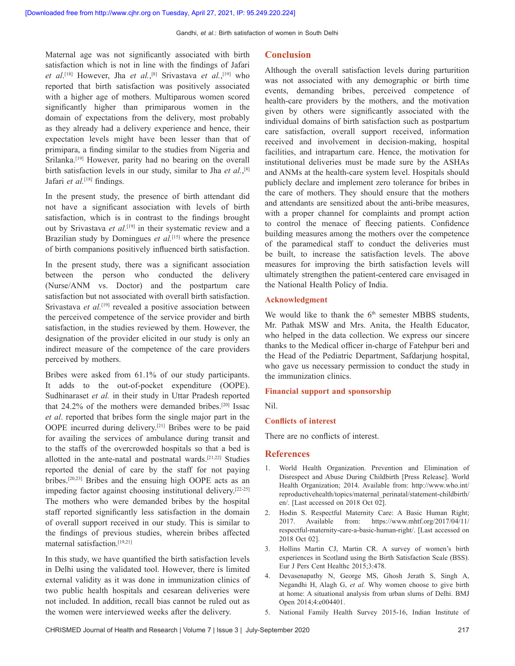Maternal age was not significantly associated with birth satisfaction which is not in line with the findings of Jafari *et al*. [18] However, Jha *et al.*, [8] Srivastava *et al.*, [19] who reported that birth satisfaction was positively associated with a higher age of mothers. Multiparous women scored significantly higher than primiparous women in the domain of expectations from the delivery, most probably as they already had a delivery experience and hence, their expectation levels might have been lesser than that of primipara, a finding similar to the studies from Nigeria and Srilanka.<sup>[19]</sup> However, parity had no bearing on the overall birth satisfaction levels in our study, similar to Jha *et al.*, [8] Jafari *et al.*<sup>[18]</sup> findings.

In the present study, the presence of birth attendant did not have a significant association with levels of birth satisfaction, which is in contrast to the findings brought out by Srivastava *et al.*[19] in their systematic review and a Brazilian study by Domingues *et al.*[15] where the presence of birth companions positively influenced birth satisfaction.

In the present study, there was a significant association between the person who conducted the delivery (Nurse/ANM vs. Doctor) and the postpartum care satisfaction but not associated with overall birth satisfaction. Srivastava *et al.*[19] revealed a positive association between the perceived competence of the service provider and birth satisfaction, in the studies reviewed by them. However, the designation of the provider elicited in our study is only an indirect measure of the competence of the care providers perceived by mothers.

Bribes were asked from 61.1% of our study participants. It adds to the out-of-pocket expenditure (OOPE). Sudhinaraset *et al.* in their study in Uttar Pradesh reported that  $24.2\%$  of the mothers were demanded bribes.<sup>[20]</sup> Issac *et al*. reported that bribes form the single major part in the OOPE incurred during delivery.[21] Bribes were to be paid for availing the services of ambulance during transit and to the staffs of the overcrowded hospitals so that a bed is allotted in the ante-natal and postnatal wards.[21,22] Studies reported the denial of care by the staff for not paying bribes.[20,23] Bribes and the ensuing high OOPE acts as an impeding factor against choosing institutional delivery.[22-25] The mothers who were demanded bribes by the hospital staff reported significantly less satisfaction in the domain of overall support received in our study. This is similar to the findings of previous studies, wherein bribes affected maternal satisfaction.[19,21]

In this study, we have quantified the birth satisfaction levels in Delhi using the validated tool. However, there is limited external validity as it was done in immunization clinics of two public health hospitals and cesarean deliveries were not included. In addition, recall bias cannot be ruled out as the women were interviewed weeks after the delivery.

### **Conclusion**

Although the overall satisfaction levels during parturition was not associated with any demographic or birth time events, demanding bribes, perceived competence of health-care providers by the mothers, and the motivation given by others were significantly associated with the individual domains of birth satisfaction such as postpartum care satisfaction, overall support received, information received and involvement in decision-making, hospital facilities, and intrapartum care. Hence, the motivation for institutional deliveries must be made sure by the ASHAs and ANMs at the health-care system level. Hospitals should publicly declare and implement zero tolerance for bribes in the care of mothers. They should ensure that the mothers and attendants are sensitized about the anti-bribe measures, with a proper channel for complaints and prompt action to control the menace of fleecing patients. Confidence building measures among the mothers over the competence of the paramedical staff to conduct the deliveries must be built, to increase the satisfaction levels. The above measures for improving the birth satisfaction levels will ultimately strengthen the patient-centered care envisaged in the National Health Policy of India.

## **Acknowledgment**

We would like to thank the  $6<sup>th</sup>$  semester MBBS students, Mr. Pathak MSW and Mrs. Anita, the Health Educator, who helped in the data collection. We express our sincere thanks to the Medical officer in‑charge of Fatehpur beri and the Head of the Pediatric Department, Safdarjung hospital, who gave us necessary permission to conduct the study in the immunization clinics.

#### **Financial support and sponsorship**

Nil.

#### **Conflicts of interest**

There are no conflicts of interest.

#### **References**

- 1. World Health Organization. Prevention and Elimination of Disrespect and Abuse During Childbirth [Press Release]. World Health Organization; 2014. Available from: http://www.who.int/ reproductivehealth/topics/maternal\_perinatal/statement‑childbirth/ en/. [Last accessed on 2018 Oct 02].
- 2. Hodin S. Respectful Maternity Care: A Basic Human Right; 2017. Available from: https://www.mhtf.org/2017/04/11/ respectful-maternity-care-a-basic-human-right/. [Last accessed on 2018 Oct 02].
- 3. Hollins Martin CJ, Martin CR. A survey of women's birth experiences in Scotland using the Birth Satisfaction Scale (BSS). Eur J Pers Cent Healthc 2015;3:478.
- 4. Devasenapathy N, George MS, Ghosh Jerath S, Singh A, Negandhi H, Alagh G, *et al.* Why women choose to give birth at home: A situational analysis from urban slums of Delhi. BMJ Open 2014;4:e004401.
- 5. National Family Health Survey 2015‑16, Indian Institute of